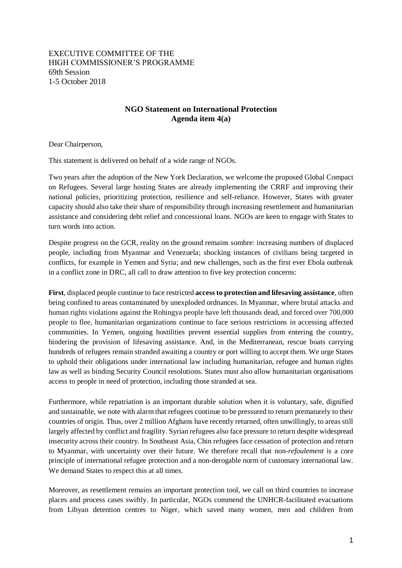## EXECUTIVE COMMITTEE OF THE HIGH COMMISSIONER'S PROGRAMME 69th Session 1-5 October 2018

## **NGO Statement on International Protection Agenda item 4(a)**

Dear Chairperson,

This statement is delivered on behalf of a wide range of NGOs.

Two years after the adoption of the New York Declaration, we welcome the proposed Global Compact on Refugees. Several large hosting States are already implementing the CRRF and improving their national policies, prioritizing protection, resilience and self-reliance. However, States with greater capacity should also take their share of responsibility through increasing resettlement and humanitarian assistance and considering debt relief and concessional loans. NGOs are keen to engage with States to turn words into action.

Despite progress on the GCR, reality on the ground remains sombre: increasing numbers of displaced people, including from Myanmar and Venezuela; shocking instances of civilians being targeted in conflicts, for example in Yemen and Syria; and new challenges, such as the first ever Ebola outbreak in a conflict zone in DRC, all call to draw attention to five key protection concerns:

**First**, displaced people continue to face restricted **access to protection and lifesaving assistance**, often being confined to areas contaminated by unexploded ordnances. In Myanmar, where brutal attacks and human rights violations against the Rohingya people have left thousands dead, and forced over 700,000 people to flee, humanitarian organizations continue to face serious restrictions in accessing affected communities. In Yemen, ongoing hostilities prevent essential supplies from entering the country, hindering the provision of lifesaving assistance. And, in the Mediterranean, rescue boats carrying hundreds of [refugees](https://www.independent.co.uk/topic/Refugees) remain stranded awaiting a country or port willing to accept them. We urge States to uphold their obligations under international law including humanitarian, refugee and human rights law as well as binding Security Council resolutions. States must also allow humanitarian organisations access to people in need of protection, including those stranded at sea.

Furthermore, while repatriation is an important durable solution when it is voluntary, safe, dignified and sustainable, we note with alarm that refugees continue to be pressured to return prematurely to their countries of origin. Thus, over 2 million Afghans have recently returned, often unwillingly, to areas still largely affected by conflict and fragility. Syrian refugees also face pressure to return despite widespread insecurity across their country. In Southeast Asia, Chin refugees face cessation of protection and return to Myanmar, with uncertainty over their future. We therefore recall that non-*refoulement* is a core principle of international refugee protection and a non-derogable norm of customary international law. We demand States to respect this at all times.

Moreover, as resettlement remains an important protection tool, we call on third countries to increase places and process cases swiftly. In particular, NGOs commend the UNHCR-facilitated evacuations from Libyan detention centres to Niger, which saved many women, men and children from